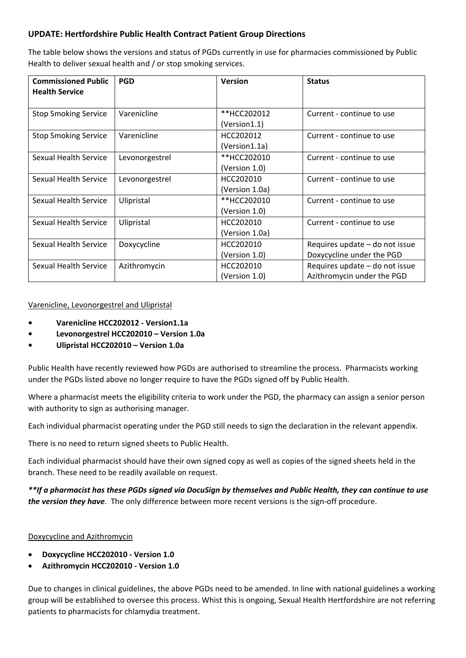## **UPDATE: Hertfordshire Public Health Contract Patient Group Directions**

The table below shows the versions and status of PGDs currently in use for pharmacies commissioned by Public Health to deliver sexual health and / or stop smoking services.

| <b>Commissioned Public</b><br><b>Health Service</b> | <b>PGD</b>     | <b>Version</b>               | <b>Status</b>                                                |
|-----------------------------------------------------|----------------|------------------------------|--------------------------------------------------------------|
| <b>Stop Smoking Service</b>                         | Varenicline    | **HCC202012<br>(Version1.1)  | Current - continue to use                                    |
| <b>Stop Smoking Service</b>                         | Varenicline    | HCC202012<br>(Version1.1a)   | Current - continue to use                                    |
| Sexual Health Service                               | Levonorgestrel | **HCC202010<br>(Version 1.0) | Current - continue to use                                    |
| <b>Sexual Health Service</b>                        | Levonorgestrel | HCC202010<br>(Version 1.0a)  | Current - continue to use                                    |
| Sexual Health Service                               | Ulipristal     | **HCC202010<br>(Version 1.0) | Current - continue to use                                    |
| Sexual Health Service                               | Ulipristal     | HCC202010<br>(Version 1.0a)  | Current - continue to use                                    |
| Sexual Health Service                               | Doxycycline    | HCC202010<br>(Version 1.0)   | Requires update - do not issue<br>Doxycycline under the PGD  |
| Sexual Health Service                               | Azithromycin   | HCC202010<br>(Version 1.0)   | Requires update - do not issue<br>Azithromycin under the PGD |

## Varenicline, Levonorgestrel and Ulipristal

- **• Varenicline HCC202012 - Version1.1a**
- **• Levonorgestrel HCC202010 – Version 1.0a**
- **• Ulipristal HCC202010 – Version 1.0a**

Public Health have recently reviewed how PGDs are authorised to streamline the process. Pharmacists working under the PGDs listed above no longer require to have the PGDs signed off by Public Health.

Where a pharmacist meets the eligibility criteria to work under the PGD, the pharmacy can assign a senior person with authority to sign as authorising manager.

Each individual pharmacist operating under the PGD still needs to sign the declaration in the relevant appendix.

There is no need to return signed sheets to Public Health.

Each individual pharmacist should have their own signed copy as well as copies of the signed sheets held in the branch. These need to be readily available on request.

*\*\*If a pharmacist has these PGDs signed via DocuSign by themselves and Public Health, they can continue to use the version they have.* The only difference between more recent versions is the sign-off procedure.

## Doxycycline and Azithromycin

- **Doxycycline HCC202010 - Version 1.0**
- **Azithromycin HCC202010 - Version 1.0**

Due to changes in clinical guidelines, the above PGDs need to be amended. In line with national guidelines a working group will be established to oversee this process. Whist this is ongoing, Sexual Health Hertfordshire are not referring patients to pharmacists for chlamydia treatment.